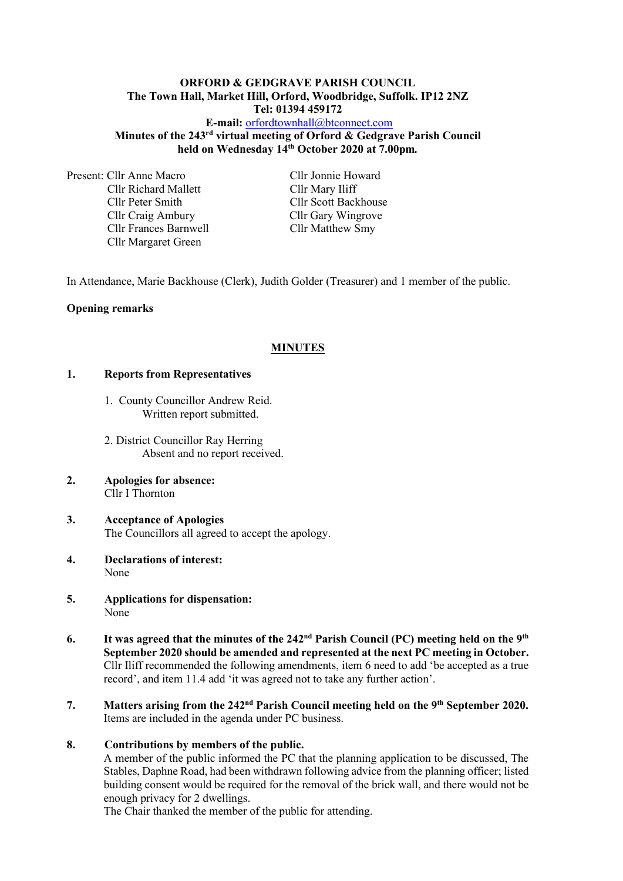#### **ORFORD & GEDGRAVE PARISH COUNCIL The Town Hall, Market Hill, Orford, Woodbridge, Suffolk. IP12 2NZ Tel: 01394 459172**

## **E-mail:** [orfordtownhall@btconnect.com](mailto:orfordtownhall@btconnect.com) **Minutes of the 243 rd virtual meeting of Orford & Gedgrave Parish Council held on Wednesday 14th October 2020 at 7.00pm***.*

Present: Cllr Anne Macro Cllr Jonnie Howard Cllr Richard Mallett Cllr Mary Iliff Cllr Peter Smith Cllr Scott Backhouse Cllr Craig Ambury Cllr Gary Wingrove Cllr Frances Barnwell Cllr Matthew Smy Cllr Margaret Green

In Attendance, Marie Backhouse (Clerk), Judith Golder (Treasurer) and 1 member of the public.

### **Opening remarks**

### **MINUTES**

#### **1. Reports from Representatives**

- 1. County Councillor Andrew Reid. Written report submitted.
- 2. District Councillor Ray Herring Absent and no report received.
- **2. Apologies for absence:** Cllr I Thornton
- **3. Acceptance of Apologies** The Councillors all agreed to accept the apology.
- **4. Declarations of interest:** None
- **5. Applications for dispensation:** None
- **6.** It was agreed that the minutes of the 242<sup>nd</sup> Parish Council (PC) meeting held on the 9<sup>th</sup> **September 2020 should be amended and represented at the next PC meeting in October.** Cllr Iliff recommended the following amendments, item 6 need to add 'be accepted as a true record', and item 11.4 add 'it was agreed not to take any further action'.
- **7. Matters arising from the 242<sup>nd</sup> Parish Council meeting held on the 9<sup>th</sup> September 2020.** Items are included in the agenda under PC business.

#### **8. Contributions by members of the public.**

A member of the public informed the PC that the planning application to be discussed, The Stables, Daphne Road, had been withdrawn following advice from the planning officer; listed building consent would be required for the removal of the brick wall, and there would not be enough privacy for 2 dwellings.

The Chair thanked the member of the public for attending.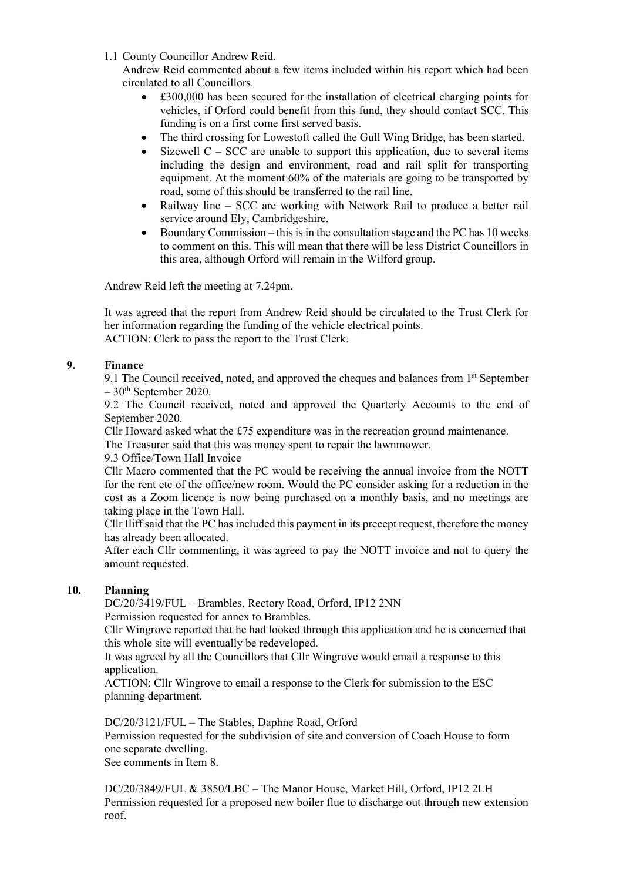1.1 County Councillor Andrew Reid.

Andrew Reid commented about a few items included within his report which had been circulated to all Councillors.

- £300,000 has been secured for the installation of electrical charging points for vehicles, if Orford could benefit from this fund, they should contact SCC. This funding is on a first come first served basis.
- The third crossing for Lowestoft called the Gull Wing Bridge, has been started.
- Sizewell  $C SCC$  are unable to support this application, due to several items including the design and environment, road and rail split for transporting equipment. At the moment 60% of the materials are going to be transported by road, some of this should be transferred to the rail line.
- Railway line SCC are working with Network Rail to produce a better rail service around Ely, Cambridgeshire.
- Boundary Commission this is in the consultation stage and the PC has  $10$  weeks to comment on this. This will mean that there will be less District Councillors in this area, although Orford will remain in the Wilford group.

Andrew Reid left the meeting at 7.24pm.

It was agreed that the report from Andrew Reid should be circulated to the Trust Clerk for her information regarding the funding of the vehicle electrical points. ACTION: Clerk to pass the report to the Trust Clerk.

## **9. Finance**

9.1 The Council received, noted, and approved the cheques and balances from  $1<sup>st</sup>$  September  $-30$ <sup>th</sup> September 2020.

9.2 The Council received, noted and approved the Quarterly Accounts to the end of September 2020.

Cllr Howard asked what the  $£75$  expenditure was in the recreation ground maintenance.

The Treasurer said that this was money spent to repair the lawnmower.

9.3 Office/Town Hall Invoice

Cllr Macro commented that the PC would be receiving the annual invoice from the NOTT for the rent etc of the office/new room. Would the PC consider asking for a reduction in the cost as a Zoom licence is now being purchased on a monthly basis, and no meetings are taking place in the Town Hall.

Cllr Iliff said that the PC has included this payment in its precept request, therefore the money has already been allocated.

After each Cllr commenting, it was agreed to pay the NOTT invoice and not to query the amount requested.

## **10. Planning**

DC/20/3419/FUL – Brambles, Rectory Road, Orford, IP12 2NN Permission requested for annex to Brambles.

Cllr Wingrove reported that he had looked through this application and he is concerned that this whole site will eventually be redeveloped.

It was agreed by all the Councillors that Cllr Wingrove would email a response to this application.

ACTION: Cllr Wingrove to email a response to the Clerk for submission to the ESC planning department.

DC/20/3121/FUL – The Stables, Daphne Road, Orford Permission requested for the subdivision of site and conversion of Coach House to form one separate dwelling. See comments in Item 8.

DC/20/3849/FUL & 3850/LBC – The Manor House, Market Hill, Orford, IP12 2LH Permission requested for a proposed new boiler flue to discharge out through new extension roof.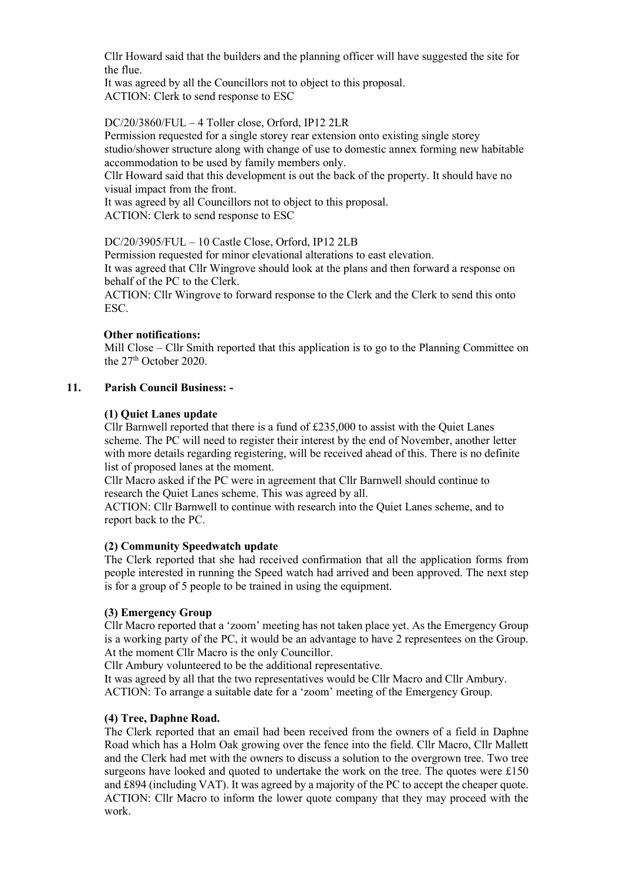Cllr Howard said that the builders and the planning officer will have suggested the site for the flue.

It was agreed by all the Councillors not to object to this proposal. ACTION: Clerk to send response to ESC

## DC/20/3860/FUL – 4 Toller close, Orford, IP12 2LR

Permission requested for a single storey rear extension onto existing single storey studio/shower structure along with change of use to domestic annex forming new habitable accommodation to be used by family members only.

Cllr Howard said that this development is out the back of the property. It should have no visual impact from the front.

It was agreed by all Councillors not to object to this proposal. ACTION: Clerk to send response to ESC

## DC/20/3905/FUL – 10 Castle Close, Orford, IP12 2LB

Permission requested for minor elevational alterations to east elevation. It was agreed that Cllr Wingrove should look at the plans and then forward a response on behalf of the PC to the Clerk.

ACTION: Cllr Wingrove to forward response to the Clerk and the Clerk to send this onto ESC.

### **Other notifications:**

Mill Close – Cllr Smith reported that this application is to go to the Planning Committee on the 27<sup>th</sup> October 2020.

## **11. Parish Council Business: -**

## **(1) Quiet Lanes update**

Cllr Barnwell reported that there is a fund of £235,000 to assist with the Quiet Lanes scheme. The PC will need to register their interest by the end of November, another letter with more details regarding registering, will be received ahead of this. There is no definite list of proposed lanes at the moment.

Cllr Macro asked if the PC were in agreement that Cllr Barnwell should continue to research the Quiet Lanes scheme. This was agreed by all.

ACTION: Cllr Barnwell to continue with research into the Quiet Lanes scheme, and to report back to the PC.

### **(2) Community Speedwatch update**

The Clerk reported that she had received confirmation that all the application forms from people interested in running the Speed watch had arrived and been approved. The next step is for a group of 5 people to be trained in using the equipment.

### **(3) Emergency Group**

Cllr Macro reported that a 'zoom' meeting has not taken place yet. As the Emergency Group is a working party of the PC, it would be an advantage to have 2 representees on the Group. At the moment Cllr Macro is the only Councillor.

Cllr Ambury volunteered to be the additional representative.

It was agreed by all that the two representatives would be Cllr Macro and Cllr Ambury. ACTION: To arrange a suitable date for a 'zoom' meeting of the Emergency Group.

### **(4) Tree, Daphne Road.**

The Clerk reported that an email had been received from the owners of a field in Daphne Road which has a Holm Oak growing over the fence into the field. Cllr Macro, Cllr Mallett and the Clerk had met with the owners to discuss a solution to the overgrown tree. Two tree surgeons have looked and quoted to undertake the work on the tree. The quotes were £150 and £894 (including VAT). It was agreed by a majority of the PC to accept the cheaper quote. ACTION: Cllr Macro to inform the lower quote company that they may proceed with the work.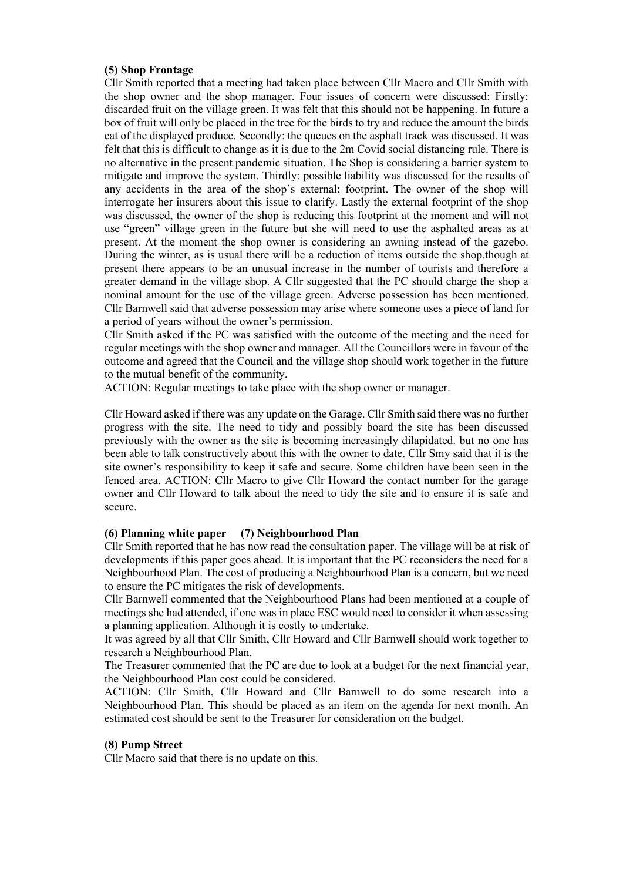#### **(5) Shop Frontage**

Cllr Smith reported that a meeting had taken place between Cllr Macro and Cllr Smith with the shop owner and the shop manager. Four issues of concern were discussed: Firstly: discarded fruit on the village green. It was felt that this should not be happening. In future a box of fruit will only be placed in the tree for the birds to try and reduce the amount the birds eat of the displayed produce. Secondly: the queues on the asphalt track was discussed. It was felt that this is difficult to change as it is due to the 2m Covid social distancing rule. There is no alternative in the present pandemic situation. The Shop is considering a barrier system to mitigate and improve the system. Thirdly: possible liability was discussed for the results of any accidents in the area of the shop's external; footprint. The owner of the shop will interrogate her insurers about this issue to clarify. Lastly the external footprint of the shop was discussed, the owner of the shop is reducing this footprint at the moment and will not use "green" village green in the future but she will need to use the asphalted areas as at present. At the moment the shop owner is considering an awning instead of the gazebo. During the winter, as is usual there will be a reduction of items outside the shop.though at present there appears to be an unusual increase in the number of tourists and therefore a greater demand in the village shop. A Cllr suggested that the PC should charge the shop a nominal amount for the use of the village green. Adverse possession has been mentioned. Cllr Barnwell said that adverse possession may arise where someone uses a piece of land for a period of years without the owner's permission.

Cllr Smith asked if the PC was satisfied with the outcome of the meeting and the need for regular meetings with the shop owner and manager. All the Councillors were in favour of the outcome and agreed that the Council and the village shop should work together in the future to the mutual benefit of the community.

ACTION: Regular meetings to take place with the shop owner or manager.

Cllr Howard asked if there was any update on the Garage. Cllr Smith said there was no further progress with the site. The need to tidy and possibly board the site has been discussed previously with the owner as the site is becoming increasingly dilapidated. but no one has been able to talk constructively about this with the owner to date. Cllr Smy said that it is the site owner's responsibility to keep it safe and secure. Some children have been seen in the fenced area. ACTION: Cllr Macro to give Cllr Howard the contact number for the garage owner and Cllr Howard to talk about the need to tidy the site and to ensure it is safe and secure.

#### **(6) Planning white paper (7) Neighbourhood Plan**

Cllr Smith reported that he has now read the consultation paper. The village will be at risk of developments if this paper goes ahead. It is important that the PC reconsiders the need for a Neighbourhood Plan. The cost of producing a Neighbourhood Plan is a concern, but we need to ensure the PC mitigates the risk of developments.

Cllr Barnwell commented that the Neighbourhood Plans had been mentioned at a couple of meetings she had attended, if one was in place ESC would need to consider it when assessing a planning application. Although it is costly to undertake.

It was agreed by all that Cllr Smith, Cllr Howard and Cllr Barnwell should work together to research a Neighbourhood Plan.

The Treasurer commented that the PC are due to look at a budget for the next financial year, the Neighbourhood Plan cost could be considered.

ACTION: Cllr Smith, Cllr Howard and Cllr Barnwell to do some research into a Neighbourhood Plan. This should be placed as an item on the agenda for next month. An estimated cost should be sent to the Treasurer for consideration on the budget.

#### **(8) Pump Street**

Cllr Macro said that there is no update on this.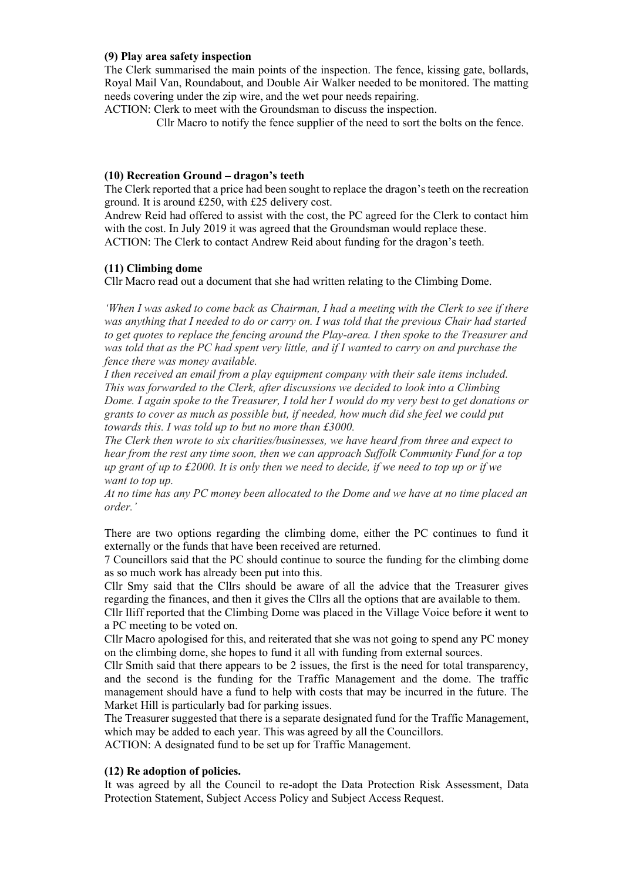### **(9) Play area safety inspection**

The Clerk summarised the main points of the inspection. The fence, kissing gate, bollards, Royal Mail Van, Roundabout, and Double Air Walker needed to be monitored. The matting needs covering under the zip wire, and the wet pour needs repairing.

ACTION: Clerk to meet with the Groundsman to discuss the inspection.

Cllr Macro to notify the fence supplier of the need to sort the bolts on the fence.

## **(10) Recreation Ground – dragon's teeth**

The Clerk reported that a price had been sought to replace the dragon's teeth on the recreation ground. It is around £250, with £25 delivery cost.

Andrew Reid had offered to assist with the cost, the PC agreed for the Clerk to contact him with the cost. In July 2019 it was agreed that the Groundsman would replace these. ACTION: The Clerk to contact Andrew Reid about funding for the dragon's teeth.

## **(11) Climbing dome**

Cllr Macro read out a document that she had written relating to the Climbing Dome.

*'When I was asked to come back as Chairman, I had a meeting with the Clerk to see if there was anything that I needed to do or carry on. I was told that the previous Chair had started to get quotes to replace the fencing around the Play-area. I then spoke to the Treasurer and was told that as the PC had spent very little, and if I wanted to carry on and purchase the fence there was money available.*

*I then received an email from a play equipment company with their sale items included. This was forwarded to the Clerk, after discussions we decided to look into a Climbing Dome. I again spoke to the Treasurer, I told her I would do my very best to get donations or grants to cover as much as possible but, if needed, how much did she feel we could put towards this. I was told up to but no more than £3000.*

*The Clerk then wrote to six charities/businesses, we have heard from three and expect to hear from the rest any time soon, then we can approach Suffolk Community Fund for a top up grant of up to £2000. It is only then we need to decide, if we need to top up or if we want to top up.*

*At no time has any PC money been allocated to the Dome and we have at no time placed an order.'*

There are two options regarding the climbing dome, either the PC continues to fund it externally or the funds that have been received are returned.

7 Councillors said that the PC should continue to source the funding for the climbing dome as so much work has already been put into this.

Cllr Smy said that the Cllrs should be aware of all the advice that the Treasurer gives regarding the finances, and then it gives the Cllrs all the options that are available to them.

Cllr Iliff reported that the Climbing Dome was placed in the Village Voice before it went to a PC meeting to be voted on.

Cllr Macro apologised for this, and reiterated that she was not going to spend any PC money on the climbing dome, she hopes to fund it all with funding from external sources.

Cllr Smith said that there appears to be 2 issues, the first is the need for total transparency, and the second is the funding for the Traffic Management and the dome. The traffic management should have a fund to help with costs that may be incurred in the future. The Market Hill is particularly bad for parking issues.

The Treasurer suggested that there is a separate designated fund for the Traffic Management, which may be added to each year. This was agreed by all the Councillors. ACTION: A designated fund to be set up for Traffic Management.

## **(12) Re adoption of policies.**

It was agreed by all the Council to re-adopt the Data Protection Risk Assessment, Data Protection Statement, Subject Access Policy and Subject Access Request.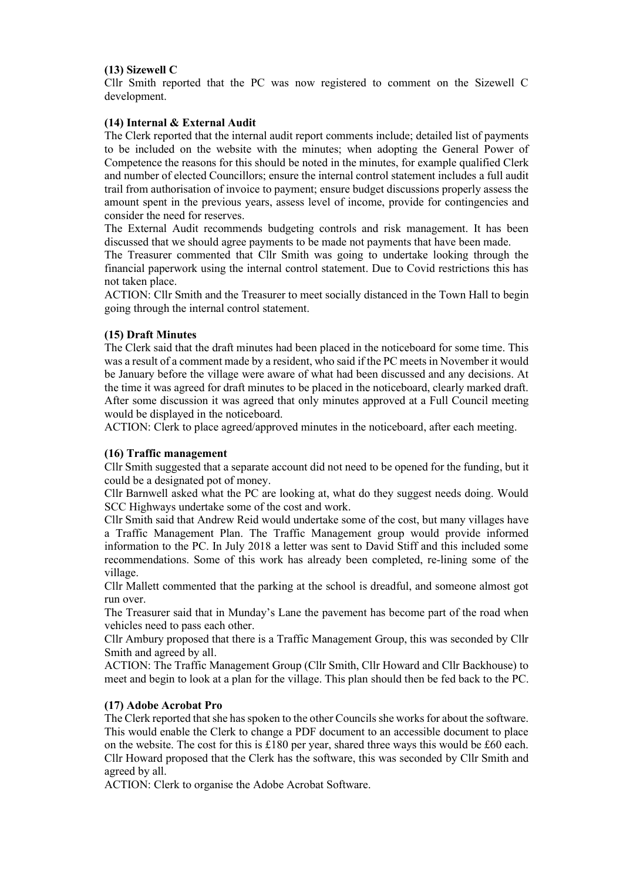## **(13) Sizewell C**

Cllr Smith reported that the PC was now registered to comment on the Sizewell C development.

### **(14) Internal & External Audit**

The Clerk reported that the internal audit report comments include; detailed list of payments to be included on the website with the minutes; when adopting the General Power of Competence the reasons for this should be noted in the minutes, for example qualified Clerk and number of elected Councillors; ensure the internal control statement includes a full audit trail from authorisation of invoice to payment; ensure budget discussions properly assess the amount spent in the previous years, assess level of income, provide for contingencies and consider the need for reserves.

The External Audit recommends budgeting controls and risk management. It has been discussed that we should agree payments to be made not payments that have been made.

The Treasurer commented that Cllr Smith was going to undertake looking through the financial paperwork using the internal control statement. Due to Covid restrictions this has not taken place.

ACTION: Cllr Smith and the Treasurer to meet socially distanced in the Town Hall to begin going through the internal control statement.

#### **(15) Draft Minutes**

The Clerk said that the draft minutes had been placed in the noticeboard for some time. This was a result of a comment made by a resident, who said if the PC meets in November it would be January before the village were aware of what had been discussed and any decisions. At the time it was agreed for draft minutes to be placed in the noticeboard, clearly marked draft. After some discussion it was agreed that only minutes approved at a Full Council meeting would be displayed in the noticeboard.

ACTION: Clerk to place agreed/approved minutes in the noticeboard, after each meeting.

#### **(16) Traffic management**

Cllr Smith suggested that a separate account did not need to be opened for the funding, but it could be a designated pot of money.

Cllr Barnwell asked what the PC are looking at, what do they suggest needs doing. Would SCC Highways undertake some of the cost and work.

Cllr Smith said that Andrew Reid would undertake some of the cost, but many villages have a Traffic Management Plan. The Traffic Management group would provide informed information to the PC. In July 2018 a letter was sent to David Stiff and this included some recommendations. Some of this work has already been completed, re-lining some of the village.

Cllr Mallett commented that the parking at the school is dreadful, and someone almost got run over.

The Treasurer said that in Munday's Lane the pavement has become part of the road when vehicles need to pass each other.

Cllr Ambury proposed that there is a Traffic Management Group, this was seconded by Cllr Smith and agreed by all.

ACTION: The Traffic Management Group (Cllr Smith, Cllr Howard and Cllr Backhouse) to meet and begin to look at a plan for the village. This plan should then be fed back to the PC.

### **(17) Adobe Acrobat Pro**

The Clerk reported that she has spoken to the other Councils she works for about the software. This would enable the Clerk to change a PDF document to an accessible document to place on the website. The cost for this is £180 per year, shared three ways this would be £60 each. Cllr Howard proposed that the Clerk has the software, this was seconded by Cllr Smith and agreed by all.

ACTION: Clerk to organise the Adobe Acrobat Software.